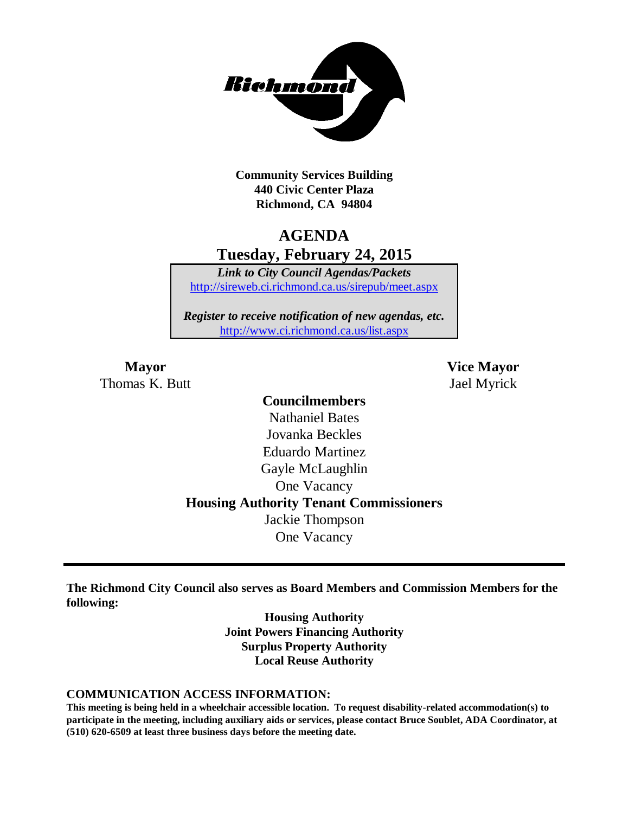

**Community Services Building 440 Civic Center Plaza Richmond, CA 94804**

# **AGENDA Tuesday, February 24, 2015**

*Link to City Council Agendas/Packets* <http://sireweb.ci.richmond.ca.us/sirepub/meet.aspx>

*Register to receive notification of new agendas, etc.* <http://www.ci.richmond.ca.us/list.aspx>

Thomas K. Butt Jael Myrick

**Mayor Vice Mayor**

# **Councilmembers** Nathaniel Bates Jovanka Beckles Eduardo Martinez Gayle McLaughlin One Vacancy **Housing Authority Tenant Commissioners** Jackie Thompson One Vacancy

**The Richmond City Council also serves as Board Members and Commission Members for the following:**

> **Housing Authority Joint Powers Financing Authority Surplus Property Authority Local Reuse Authority**

#### **COMMUNICATION ACCESS INFORMATION:**

**This meeting is being held in a wheelchair accessible location. To request disability-related accommodation(s) to participate in the meeting, including auxiliary aids or services, please contact Bruce Soublet, ADA Coordinator, at (510) 620-6509 at least three business days before the meeting date.**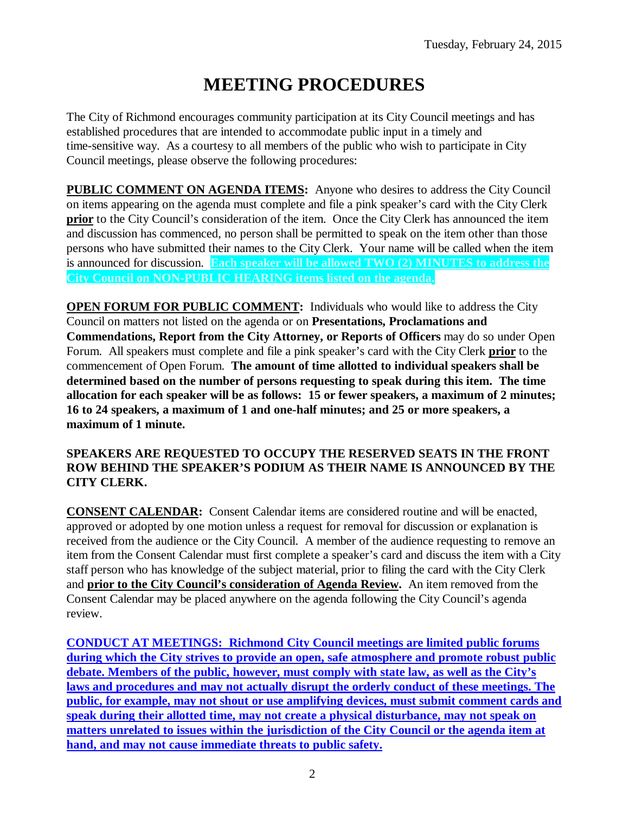# **MEETING PROCEDURES**

The City of Richmond encourages community participation at its City Council meetings and has established procedures that are intended to accommodate public input in a timely and time-sensitive way. As a courtesy to all members of the public who wish to participate in City Council meetings, please observe the following procedures:

**PUBLIC COMMENT ON AGENDA ITEMS:** Anyone who desires to address the City Council on items appearing on the agenda must complete and file a pink speaker's card with the City Clerk **prior** to the City Council's consideration of the item. Once the City Clerk has announced the item and discussion has commenced, no person shall be permitted to speak on the item other than those persons who have submitted their names to the City Clerk. Your name will be called when the item is announced for discussion. **Each speaker will be allowed TWO (2) MINUTES to address the City Council on NON-PUBLIC HEARING items listed on the agenda.**

**OPEN FORUM FOR PUBLIC COMMENT:** Individuals who would like to address the City Council on matters not listed on the agenda or on **Presentations, Proclamations and Commendations, Report from the City Attorney, or Reports of Officers** may do so under Open Forum. All speakers must complete and file a pink speaker's card with the City Clerk **prior** to the commencement of Open Forum. **The amount of time allotted to individual speakers shall be determined based on the number of persons requesting to speak during this item. The time allocation for each speaker will be as follows: 15 or fewer speakers, a maximum of 2 minutes; 16 to 24 speakers, a maximum of 1 and one-half minutes; and 25 or more speakers, a maximum of 1 minute.**

#### **SPEAKERS ARE REQUESTED TO OCCUPY THE RESERVED SEATS IN THE FRONT ROW BEHIND THE SPEAKER'S PODIUM AS THEIR NAME IS ANNOUNCED BY THE CITY CLERK.**

**CONSENT CALENDAR:** Consent Calendar items are considered routine and will be enacted, approved or adopted by one motion unless a request for removal for discussion or explanation is received from the audience or the City Council. A member of the audience requesting to remove an item from the Consent Calendar must first complete a speaker's card and discuss the item with a City staff person who has knowledge of the subject material, prior to filing the card with the City Clerk and **prior to the City Council's consideration of Agenda Review.** An item removed from the Consent Calendar may be placed anywhere on the agenda following the City Council's agenda review.

**CONDUCT AT MEETINGS: Richmond City Council meetings are limited public forums during which the City strives to provide an open, safe atmosphere and promote robust public debate. Members of the public, however, must comply with state law, as well as the City's laws and procedures and may not actually disrupt the orderly conduct of these meetings. The public, for example, may not shout or use amplifying devices, must submit comment cards and speak during their allotted time, may not create a physical disturbance, may not speak on matters unrelated to issues within the jurisdiction of the City Council or the agenda item at hand, and may not cause immediate threats to public safety.**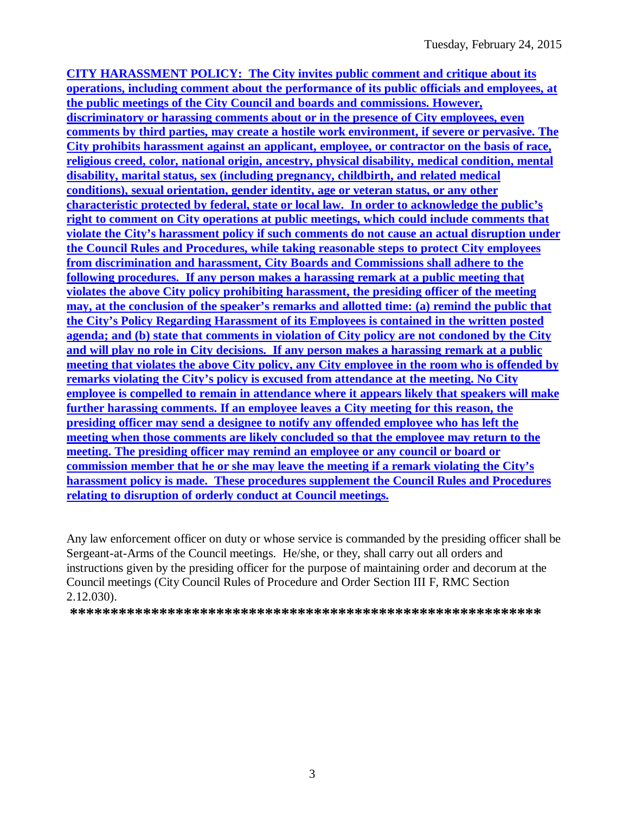**CITY HARASSMENT POLICY: The City invites public comment and critique about its operations, including comment about the performance of its public officials and employees, at the public meetings of the City Council and boards and commissions. However, discriminatory or harassing comments about or in the presence of City employees, even comments by third parties, may create a hostile work environment, if severe or pervasive. The City prohibits harassment against an applicant, employee, or contractor on the basis of race, religious creed, color, national origin, ancestry, physical disability, medical condition, mental disability, marital status, sex (including pregnancy, childbirth, and related medical conditions), sexual orientation, gender identity, age or veteran status, or any other characteristic protected by federal, state or local law. In order to acknowledge the public's right to comment on City operations at public meetings, which could include comments that violate the City's harassment policy if such comments do not cause an actual disruption under the Council Rules and Procedures, while taking reasonable steps to protect City employees from discrimination and harassment, City Boards and Commissions shall adhere to the following procedures. If any person makes a harassing remark at a public meeting that violates the above City policy prohibiting harassment, the presiding officer of the meeting may, at the conclusion of the speaker's remarks and allotted time: (a) remind the public that the City's Policy Regarding Harassment of its Employees is contained in the written posted agenda; and (b) state that comments in violation of City policy are not condoned by the City and will play no role in City decisions. If any person makes a harassing remark at a public meeting that violates the above City policy, any City employee in the room who is offended by remarks violating the City's policy is excused from attendance at the meeting. No City employee is compelled to remain in attendance where it appears likely that speakers will make further harassing comments. If an employee leaves a City meeting for this reason, the presiding officer may send a designee to notify any offended employee who has left the meeting when those comments are likely concluded so that the employee may return to the meeting. The presiding officer may remind an employee or any council or board or commission member that he or she may leave the meeting if a remark violating the City's harassment policy is made. These procedures supplement the Council Rules and Procedures relating to disruption of orderly conduct at Council meetings.**

Any law enforcement officer on duty or whose service is commanded by the presiding officer shall be Sergeant-at-Arms of the Council meetings. He/she, or they, shall carry out all orders and instructions given by the presiding officer for the purpose of maintaining order and decorum at the Council meetings (City Council Rules of Procedure and Order Section III F, RMC Section 2.12.030).

**\*\*\*\*\*\*\*\*\*\*\*\*\*\*\*\*\*\*\*\*\*\*\*\*\*\*\*\*\*\*\*\*\*\*\*\*\*\*\*\*\*\*\*\*\*\*\*\*\*\*\*\*\*\*\*\*\*\***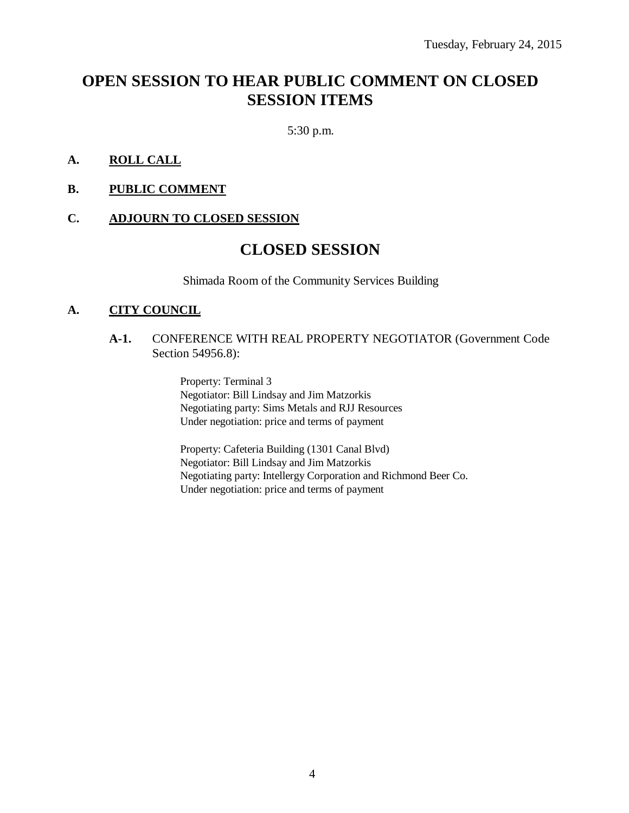# **OPEN SESSION TO HEAR PUBLIC COMMENT ON CLOSED SESSION ITEMS**

5:30 p.m.

#### **A. ROLL CALL**

**B. PUBLIC COMMENT**

#### **C. ADJOURN TO CLOSED SESSION**

## **CLOSED SESSION**

Shimada Room of the Community Services Building

#### **A. CITY COUNCIL**

#### **A-1.** CONFERENCE WITH REAL PROPERTY NEGOTIATOR (Government Code Section 54956.8):

Property: Terminal 3 Negotiator: Bill Lindsay and Jim Matzorkis Negotiating party: Sims Metals and RJJ Resources Under negotiation: price and terms of payment

Property: Cafeteria Building (1301 Canal Blvd) Negotiator: Bill Lindsay and Jim Matzorkis Negotiating party: Intellergy Corporation and Richmond Beer Co. Under negotiation: price and terms of payment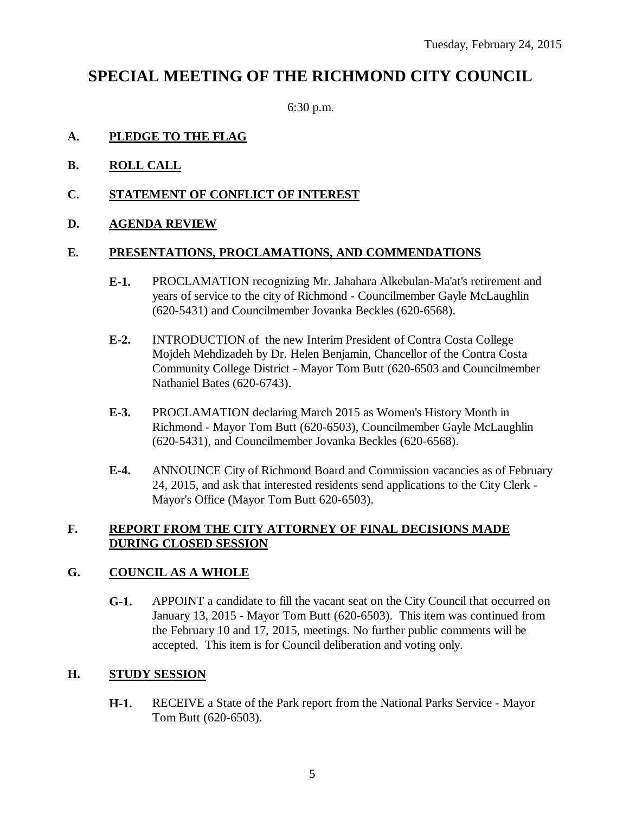# **SPECIAL MEETING OF THE RICHMOND CITY COUNCIL**

6:30 p.m.

### **A. PLEDGE TO THE FLAG**

- **B. ROLL CALL**
- **C. STATEMENT OF CONFLICT OF INTEREST**
- **D. AGENDA REVIEW**

#### **E. PRESENTATIONS, PROCLAMATIONS, AND COMMENDATIONS**

- **E-1.** PROCLAMATION recognizing Mr. Jahahara Alkebulan-Ma'at's retirement and years of service to the city of Richmond - Councilmember Gayle McLaughlin (620-5431) and Councilmember Jovanka Beckles (620-6568).
- **E-2.** INTRODUCTION of the new Interim President of Contra Costa College Mojdeh Mehdizadeh by Dr. Helen Benjamin, Chancellor of the Contra Costa Community College District - Mayor Tom Butt (620-6503 and Councilmember Nathaniel Bates (620-6743).
- **E-3.** PROCLAMATION declaring March 2015 as Women's History Month in Richmond - Mayor Tom Butt (620-6503), Councilmember Gayle McLaughlin (620-5431), and Councilmember Jovanka Beckles (620-6568).
- **E-4.** ANNOUNCE City of Richmond Board and Commission vacancies as of February 24, 2015, and ask that interested residents send applications to the City Clerk - Mayor's Office (Mayor Tom Butt 620-6503).

### **F. REPORT FROM THE CITY ATTORNEY OF FINAL DECISIONS MADE DURING CLOSED SESSION**

#### **G. COUNCIL AS A WHOLE**

**G-1.** APPOINT a candidate to fill the vacant seat on the City Council that occurred on January 13, 2015 - Mayor Tom Butt (620-6503). This item was continued from the February 10 and 17, 2015, meetings. No further public comments will be accepted. This item is for Council deliberation and voting only.

#### **H. STUDY SESSION**

**H-1.** RECEIVE a State of the Park report from the National Parks Service - Mayor Tom Butt (620-6503).